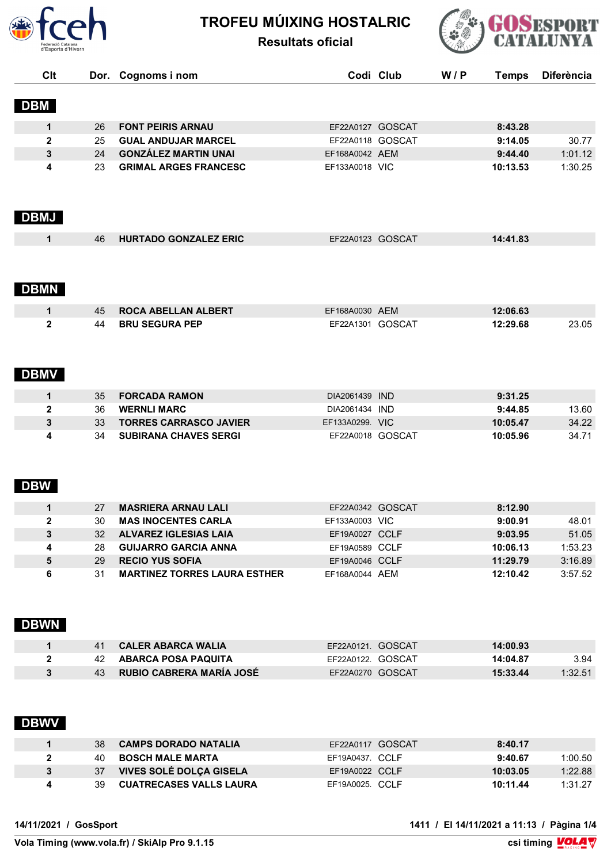

# **TROFEU MÚIXING HOSTALRIC**





| Clt          |                 | Dor. Cognoms i nom                  |                   | Codi Club | W/P | <b>Temps</b> | <b>Diferència</b> |
|--------------|-----------------|-------------------------------------|-------------------|-----------|-----|--------------|-------------------|
|              |                 |                                     |                   |           |     |              |                   |
| <b>DBM</b>   |                 |                                     |                   |           |     |              |                   |
| $\mathbf{1}$ | 26              | <b>FONT PEIRIS ARNAU</b>            | EF22A0127 GOSCAT  |           |     | 8:43.28      |                   |
| $\mathbf{2}$ | 25              | <b>GUAL ANDUJAR MARCEL</b>          | EF22A0118 GOSCAT  |           |     | 9:14.05      | 30.77             |
| 3            | 24              | <b>GONZÁLEZ MARTIN UNAI</b>         | EF168A0042 AEM    |           |     | 9:44.40      | 1:01.12           |
| 4            | 23              | <b>GRIMAL ARGES FRANCESC</b>        | EF133A0018 VIC    |           |     | 10:13.53     | 1:30.25           |
| <b>DBMJ</b>  |                 |                                     |                   |           |     |              |                   |
| $\mathbf 1$  | 46              | <b>HURTADO GONZALEZ ERIC</b>        | EF22A0123 GOSCAT  |           |     | 14:41.83     |                   |
|              |                 |                                     |                   |           |     |              |                   |
| <b>DBMN</b>  |                 |                                     |                   |           |     |              |                   |
|              |                 |                                     | EF168A0030 AEM    |           |     |              |                   |
| $\mathbf 1$  | 45              | <b>ROCA ABELLAN ALBERT</b>          |                   |           |     | 12:06.63     |                   |
| $\mathbf{2}$ | 44              | <b>BRU SEGURA PEP</b>               | EF22A1301 GOSCAT  |           |     | 12:29.68     | 23.05             |
| <b>DBMV</b>  |                 |                                     |                   |           |     |              |                   |
| 1            | 35              | <b>FORCADA RAMON</b>                | DIA2061439 IND    |           |     | 9:31.25      |                   |
| $\mathbf{2}$ | 36              | <b>WERNLI MARC</b>                  | DIA2061434 IND    |           |     | 9:44.85      | 13.60             |
| 3            | 33              | <b>TORRES CARRASCO JAVIER</b>       | EF133A0299. VIC   |           |     | 10:05.47     | 34.22             |
| 4            | 34              | <b>SUBIRANA CHAVES SERGI</b>        | EF22A0018 GOSCAT  |           |     | 10:05.96     | 34.71             |
| <b>DBW</b>   |                 |                                     |                   |           |     |              |                   |
| 1            | 27              | <b>MASRIERA ARNAU LALI</b>          | EF22A0342 GOSCAT  |           |     | 8:12.90      |                   |
| 2            | 30              | <b>MAS INOCENTES CARLA</b>          | EF133A0003 VIC    |           |     | 9:00.91      | 48.01             |
| 3            | 32 <sup>2</sup> | <b>ALVAREZ IGLESIAS LAIA</b>        | EF19A0027 CCLF    |           |     | 9:03.95      | 51.05             |
| 4            | 28              | <b>GUIJARRO GARCIA ANNA</b>         | EF19A0589 CCLF    |           |     | 10:06.13     | 1:53.23           |
| 5            | 29              | <b>RECIO YUS SOFIA</b>              | EF19A0046 CCLF    |           |     | 11:29.79     | 3:16.89           |
| 6            | 31              | <b>MARTINEZ TORRES LAURA ESTHER</b> | EF168A0044 AEM    |           |     | 12:10.42     | 3:57.52           |
| <b>DBWN</b>  |                 |                                     |                   |           |     |              |                   |
| 1            | 41              | <b>CALER ABARCA WALIA</b>           | EF22A0121. GOSCAT |           |     | 14:00.93     |                   |
| $\mathbf{2}$ | 42              | <b>ABARCA POSA PAQUITA</b>          | EF22A0122. GOSCAT |           |     | 14:04.87     | 3.94              |
| 3            | 43              | <b>RUBIO CABRERA MARÍA JOSÉ</b>     | EF22A0270 GOSCAT  |           |     | 15:33.44     | 1:32.51           |
|              |                 |                                     |                   |           |     |              |                   |

# **DBWV**

|   | 38 | <b>CAMPS DORADO NATALIA</b>    | EF22A0117 GOSCAT | 8:40.17  |         |
|---|----|--------------------------------|------------------|----------|---------|
|   | 40 | <b>BOSCH MALE MARTA</b>        | EF19A0437 CCLF   | 9:40.67  | 1:00.50 |
|   | 37 | <b>VIVES SOLÉ DOLÇA GISELA</b> | EF19A0022 CCLF   | 10:03.05 | 1:22.88 |
| 4 | 39 | <b>CUATRECASES VALLS LAURA</b> | EF19A0025. CCLF  | 10:11.44 | 1:31.27 |

**14/11/2021 / GosSport 1411 / El 14/11/2021 a 11:13 / Pàgina 1/4**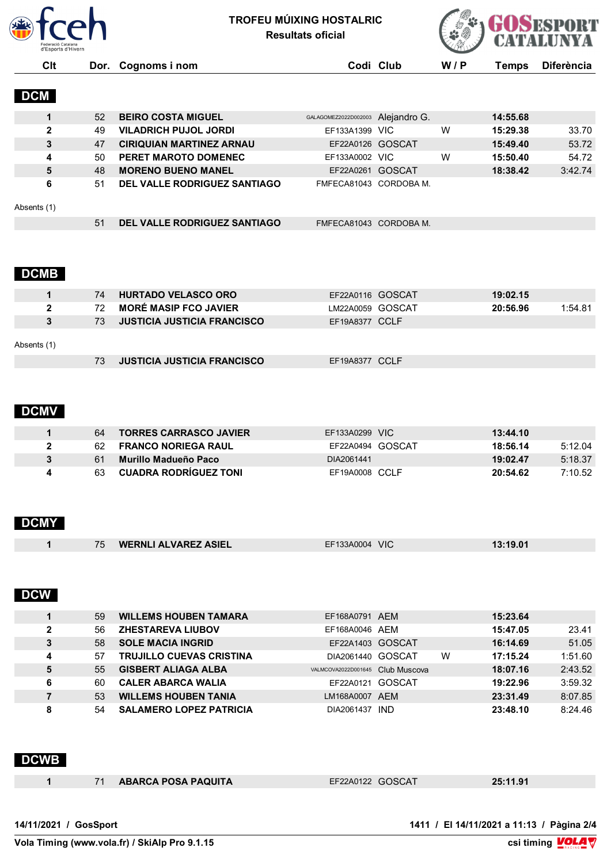

**TROFEU MÚIXING HOSTALRIC Resultats oficial**



**Clt Dor. Cognoms i nom Codi Club W / P Temps Diferència**

### **DCM**

|              | 52 | <b>BEIRO COSTA MIGUEL</b>           | GALAGOMEZ2022D002003 Alejandro G. |   | 14:55.68 |         |
|--------------|----|-------------------------------------|-----------------------------------|---|----------|---------|
| $\mathbf{2}$ | 49 | <b>VILADRICH PUJOL JORDI</b>        | EF133A1399 VIC                    | w | 15:29.38 | 33.70   |
| 3            | 47 | <b>CIRIQUIAN MARTINEZ ARNAU</b>     | EF22A0126 GOSCAT                  |   | 15:49.40 | 53.72   |
| 4            | 50 | PERET MAROTO DOMENEC                | EF133A0002 VIC                    | W | 15:50.40 | 54.72   |
| 5            | 48 | <b>MORENO BUENO MANEL</b>           | EF22A0261 GOSCAT                  |   | 18:38.42 | 3:42.74 |
| 6            | 51 | DEL VALLE RODRIGUEZ SANTIAGO        | FMFECA81043 CORDOBA M.            |   |          |         |
| Absents (1)  |    |                                     |                                   |   |          |         |
|              | 51 | <b>DEL VALLE RODRIGUEZ SANTIAGO</b> | FMFECA81043 CORDOBA M.            |   |          |         |

### **DCMB**

|              | 74 | <b>HURTADO VELASCO ORO</b>         | EF22A0116 GOSCAT | 19:02.15 |         |
|--------------|----|------------------------------------|------------------|----------|---------|
| $\mathbf{2}$ | 72 | <b>MORÉ MASIP FCO JAVIER</b>       | LM22A0059 GOSCAT | 20:56.96 | 1:54.81 |
| 3            | 73 | <b>JUSTICIA JUSTICIA FRANCISCO</b> | EF19A8377 CCLF   |          |         |
| Absents (1)  |    |                                    |                  |          |         |
|              | 73 | <b>JUSTICIA JUSTICIA FRANCISCO</b> | EF19A8377 CCLF   |          |         |

### **DCMV**

| 64 | <b>TORRES CARRASCO JAVIER</b> | EF133A0299 VIC   | 13:44.10 |         |
|----|-------------------------------|------------------|----------|---------|
| 62 | <b>FRANCO NORIEGA RAUL</b>    | EF22A0494 GOSCAT | 18:56.14 | 5:12.04 |
| 61 | Murillo Madueño Paco          | DIA2061441       | 19:02.47 | 5:18.37 |
|    | <b>CUADRA RODRIGUEZ TONI</b>  | EF19A0008 CCLF   | 20:54.62 | 7:10.52 |

# **DCMY**

|  | <b>WERNLI ALVAREZ ASIEL</b><br>フト | EF133A0004 VIC | $\overline{A}$<br>$.19.0^{\circ}$<br>. . |  |
|--|-----------------------------------|----------------|------------------------------------------|--|
|--|-----------------------------------|----------------|------------------------------------------|--|

## **DCW**

|              | 59 | <b>WILLEMS HOUBEN TAMARA</b>    | EF168A0791 AEM                   |   | 15:23.64 |         |
|--------------|----|---------------------------------|----------------------------------|---|----------|---------|
| $\mathbf{2}$ | 56 | <b>ZHESTAREVA LIUBOV</b>        | EF168A0046 AEM                   |   | 15:47.05 | 23.41   |
| 3            | 58 | <b>SOLE MACIA INGRID</b>        | EF22A1403 GOSCAT                 |   | 16:14.69 | 51.05   |
| 4            | 57 | <b>TRUJILLO CUEVAS CRISTINA</b> | DIA2061440 GOSCAT                | W | 17:15.24 | 1:51.60 |
| 5            | 55 | <b>GISBERT ALIAGA ALBA</b>      | VALMCOVA2022D001645 Club Muscova |   | 18:07.16 | 2:43.52 |
| 6            | 60 | <b>CALER ABARCA WALIA</b>       | EF22A0121 GOSCAT                 |   | 19:22.96 | 3:59.32 |
|              | 53 | <b>WILLEMS HOUBEN TANIA</b>     | LM168A0007 AEM                   |   | 23:31.49 | 8:07.85 |
| 8            | 54 | <b>SALAMERO LOPEZ PATRICIA</b>  | DIA2061437 IND                   |   | 23:48.10 | 8:24.46 |

### **DCWB**

|  | 71 ABARCA POSA PAQUITA | EF22A0122 GOSCAT | 25:11.91 |
|--|------------------------|------------------|----------|
|  |                        |                  |          |

**Vola Timing (www.vola.fr) / SkiAlp Pro 9.1.15**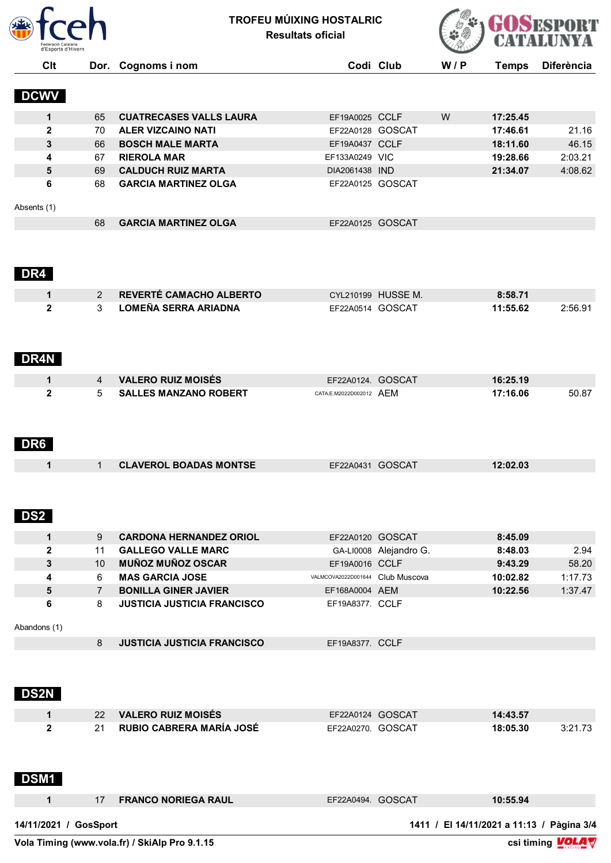

**TROFEU MÚIXING HOSTALRIC Resultats oficial**



| <b>DCWV</b><br>$\mathbf{1}$<br>65<br><b>CUATRECASES VALLS LAURA</b><br>2<br>70<br><b>ALER VIZCAINO NATI</b><br>3<br><b>BOSCH MALE MARTA</b><br>66<br><b>RIEROLA MAR</b><br>4<br>67<br><b>CALDUCH RUIZ MARTA</b><br>5<br>69<br><b>GARCIA MARTINEZ OLGA</b><br>6<br>68<br>Absents (1)<br>68<br><b>GARCIA MARTINEZ OLGA</b><br>DR4<br>REVERTÉ CAMACHO ALBERTO<br>$\mathbf{1}$<br>2<br><b>LOMEÑA SERRA ARIADNA</b><br>$\mathbf{2}$<br>3<br>DR4N<br><b>VALERO RUIZ MOISÉS</b><br>$\mathbf 1$<br>4<br>2<br><b>SALLES MANZANO ROBERT</b><br>5<br>DR6<br><b>CLAVEROL BOADAS MONTSE</b><br>1<br>$\mathbf{1}$<br>DS2<br>9<br><b>CARDONA HERNANDEZ ORIOL</b><br>1<br>$\boldsymbol{2}$<br>11<br><b>GALLEGO VALLE MARC</b><br><b>MUÑOZ MUÑOZ OSCAR</b><br>3<br>10 <sup>1</sup><br><b>MAS GARCIA JOSE</b><br>4<br>6<br>5<br><b>BONILLA GINER JAVIER</b><br>$\overline{7}$<br>6<br>8<br><b>JUSTICIA JUSTICIA FRANCISCO</b><br>Abandons (1)<br><b>JUSTICIA JUSTICIA FRANCISCO</b><br>8<br><b>DS2N</b><br><b>VALERO RUIZ MOISÉS</b><br>1<br>22<br>RUBIO CABRERA MARÍA JOSÉ<br>21<br>$\mathbf{2}$ | Dor. Cognoms i nom |                                              | Codi Club              | W/P | <b>Temps</b>         | <b>Diferència</b> |
|---------------------------------------------------------------------------------------------------------------------------------------------------------------------------------------------------------------------------------------------------------------------------------------------------------------------------------------------------------------------------------------------------------------------------------------------------------------------------------------------------------------------------------------------------------------------------------------------------------------------------------------------------------------------------------------------------------------------------------------------------------------------------------------------------------------------------------------------------------------------------------------------------------------------------------------------------------------------------------------------------------------------------------------------------------------------------------|--------------------|----------------------------------------------|------------------------|-----|----------------------|-------------------|
|                                                                                                                                                                                                                                                                                                                                                                                                                                                                                                                                                                                                                                                                                                                                                                                                                                                                                                                                                                                                                                                                                 |                    |                                              |                        |     |                      |                   |
|                                                                                                                                                                                                                                                                                                                                                                                                                                                                                                                                                                                                                                                                                                                                                                                                                                                                                                                                                                                                                                                                                 |                    | EF19A0025 CCLF                               |                        | W   | 17:25.45             |                   |
|                                                                                                                                                                                                                                                                                                                                                                                                                                                                                                                                                                                                                                                                                                                                                                                                                                                                                                                                                                                                                                                                                 |                    | EF22A0128 GOSCAT                             |                        |     | 17:46.61             | 21.16             |
|                                                                                                                                                                                                                                                                                                                                                                                                                                                                                                                                                                                                                                                                                                                                                                                                                                                                                                                                                                                                                                                                                 |                    | EF19A0437 CCLF                               |                        |     | 18:11.60             | 46.15             |
|                                                                                                                                                                                                                                                                                                                                                                                                                                                                                                                                                                                                                                                                                                                                                                                                                                                                                                                                                                                                                                                                                 |                    | EF133A0249 VIC                               |                        |     | 19:28.66             | 2:03.21           |
|                                                                                                                                                                                                                                                                                                                                                                                                                                                                                                                                                                                                                                                                                                                                                                                                                                                                                                                                                                                                                                                                                 |                    | DIA2061438 IND                               |                        |     | 21:34.07             | 4:08.62           |
|                                                                                                                                                                                                                                                                                                                                                                                                                                                                                                                                                                                                                                                                                                                                                                                                                                                                                                                                                                                                                                                                                 |                    | EF22A0125 GOSCAT                             |                        |     |                      |                   |
|                                                                                                                                                                                                                                                                                                                                                                                                                                                                                                                                                                                                                                                                                                                                                                                                                                                                                                                                                                                                                                                                                 |                    |                                              |                        |     |                      |                   |
|                                                                                                                                                                                                                                                                                                                                                                                                                                                                                                                                                                                                                                                                                                                                                                                                                                                                                                                                                                                                                                                                                 |                    | EF22A0125 GOSCAT                             |                        |     |                      |                   |
|                                                                                                                                                                                                                                                                                                                                                                                                                                                                                                                                                                                                                                                                                                                                                                                                                                                                                                                                                                                                                                                                                 |                    |                                              |                        |     |                      |                   |
|                                                                                                                                                                                                                                                                                                                                                                                                                                                                                                                                                                                                                                                                                                                                                                                                                                                                                                                                                                                                                                                                                 |                    |                                              |                        |     |                      |                   |
|                                                                                                                                                                                                                                                                                                                                                                                                                                                                                                                                                                                                                                                                                                                                                                                                                                                                                                                                                                                                                                                                                 |                    |                                              | CYL210199 HUSSE M.     |     | 8:58.71              |                   |
|                                                                                                                                                                                                                                                                                                                                                                                                                                                                                                                                                                                                                                                                                                                                                                                                                                                                                                                                                                                                                                                                                 |                    | EF22A0514 GOSCAT                             |                        |     | 11:55.62             | 2:56.91           |
|                                                                                                                                                                                                                                                                                                                                                                                                                                                                                                                                                                                                                                                                                                                                                                                                                                                                                                                                                                                                                                                                                 |                    |                                              |                        |     |                      |                   |
|                                                                                                                                                                                                                                                                                                                                                                                                                                                                                                                                                                                                                                                                                                                                                                                                                                                                                                                                                                                                                                                                                 |                    | EF22A0124. GOSCAT<br>CATA.E.M2022D002012 AEM |                        |     | 16:25.19<br>17:16.06 | 50.87             |
|                                                                                                                                                                                                                                                                                                                                                                                                                                                                                                                                                                                                                                                                                                                                                                                                                                                                                                                                                                                                                                                                                 |                    |                                              |                        |     |                      |                   |
|                                                                                                                                                                                                                                                                                                                                                                                                                                                                                                                                                                                                                                                                                                                                                                                                                                                                                                                                                                                                                                                                                 |                    | EF22A0431 GOSCAT                             |                        |     | 12:02.03             |                   |
|                                                                                                                                                                                                                                                                                                                                                                                                                                                                                                                                                                                                                                                                                                                                                                                                                                                                                                                                                                                                                                                                                 |                    |                                              |                        |     |                      |                   |
|                                                                                                                                                                                                                                                                                                                                                                                                                                                                                                                                                                                                                                                                                                                                                                                                                                                                                                                                                                                                                                                                                 |                    | EF22A0120 GOSCAT                             |                        |     | 8:45.09              |                   |
|                                                                                                                                                                                                                                                                                                                                                                                                                                                                                                                                                                                                                                                                                                                                                                                                                                                                                                                                                                                                                                                                                 |                    |                                              | GA-LI0008 Alejandro G. |     | 8:48.03              | 2.94              |
|                                                                                                                                                                                                                                                                                                                                                                                                                                                                                                                                                                                                                                                                                                                                                                                                                                                                                                                                                                                                                                                                                 |                    | EF19A0016 CCLF                               |                        |     | 9:43.29              | 58.20             |
|                                                                                                                                                                                                                                                                                                                                                                                                                                                                                                                                                                                                                                                                                                                                                                                                                                                                                                                                                                                                                                                                                 |                    | VALMCOVA2022D001644 Club Muscova             |                        |     | 10:02.82             | 1:17.73           |
|                                                                                                                                                                                                                                                                                                                                                                                                                                                                                                                                                                                                                                                                                                                                                                                                                                                                                                                                                                                                                                                                                 |                    | EF168A0004 AEM                               |                        |     | 10:22.56             | 1:37.47           |
|                                                                                                                                                                                                                                                                                                                                                                                                                                                                                                                                                                                                                                                                                                                                                                                                                                                                                                                                                                                                                                                                                 |                    | EF19A8377. CCLF                              |                        |     |                      |                   |
|                                                                                                                                                                                                                                                                                                                                                                                                                                                                                                                                                                                                                                                                                                                                                                                                                                                                                                                                                                                                                                                                                 |                    |                                              |                        |     |                      |                   |
|                                                                                                                                                                                                                                                                                                                                                                                                                                                                                                                                                                                                                                                                                                                                                                                                                                                                                                                                                                                                                                                                                 |                    | EF19A8377. CCLF                              |                        |     |                      |                   |
|                                                                                                                                                                                                                                                                                                                                                                                                                                                                                                                                                                                                                                                                                                                                                                                                                                                                                                                                                                                                                                                                                 |                    |                                              |                        |     |                      |                   |
|                                                                                                                                                                                                                                                                                                                                                                                                                                                                                                                                                                                                                                                                                                                                                                                                                                                                                                                                                                                                                                                                                 |                    | EF22A0124 GOSCAT                             |                        |     | 14:43.57             |                   |
|                                                                                                                                                                                                                                                                                                                                                                                                                                                                                                                                                                                                                                                                                                                                                                                                                                                                                                                                                                                                                                                                                 |                    | EF22A0270. GOSCAT                            |                        |     | 18:05.30             | 3:21.73           |
| <b>DSM1</b>                                                                                                                                                                                                                                                                                                                                                                                                                                                                                                                                                                                                                                                                                                                                                                                                                                                                                                                                                                                                                                                                     |                    |                                              |                        |     |                      |                   |
| $\mathbf{1}$<br><b>FRANCO NORIEGA RAUL</b><br>17                                                                                                                                                                                                                                                                                                                                                                                                                                                                                                                                                                                                                                                                                                                                                                                                                                                                                                                                                                                                                                |                    | EF22A0494. GOSCAT                            |                        |     | 10:55.94             |                   |

 $\overline{\text{Vola}$  Timing (www.vola.fr) / SkiAlp Pro 9.1.15